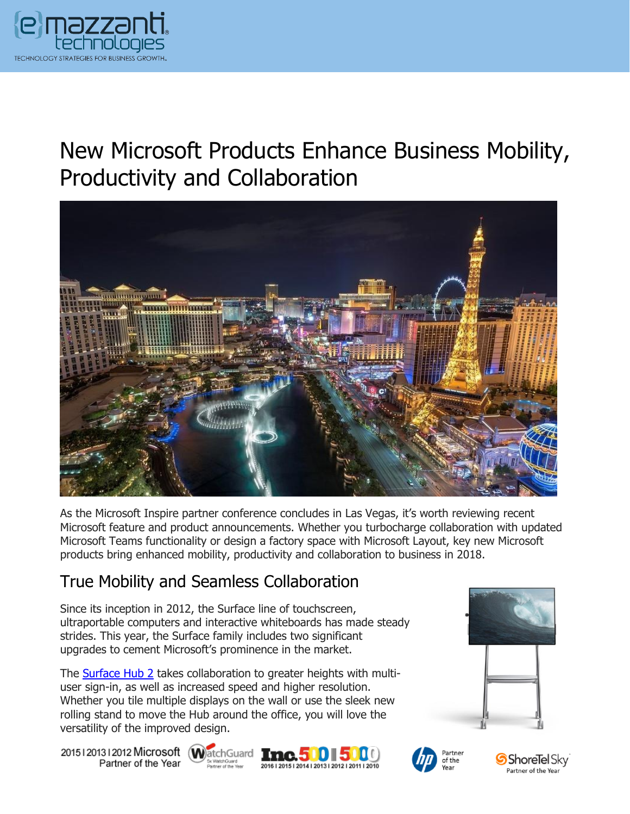

# New Microsoft Products Enhance Business Mobility, Productivity and Collaboration



As the Microsoft Inspire partner conference concludes in Las Vegas, it's worth reviewing recent Microsoft feature and product announcements. Whether you turbocharge collaboration with updated Microsoft Teams functionality or design a factory space with Microsoft Layout, key new Microsoft products bring enhanced mobility, productivity and collaboration to business in 2018.

#### True Mobility and Seamless Collaboration

Since its inception in 2012, the Surface line of touchscreen, ultraportable computers and interactive whiteboards has made steady strides. This year, the Surface family includes two significant upgrades to cement Microsoft's prominence in the market.

The [Surface Hub 2](https://www.emazzanti.net/surface-hub-2/) takes collaboration to greater heights with multiuser sign-in, as well as increased speed and higher resolution. Whether you tile multiple displays on the wall or use the sleek new rolling stand to move the Hub around the office, you will love the versatility of the improved design.

20151201312012 Microsoft WatchGuard **Inc.500 500** Partner of the Year









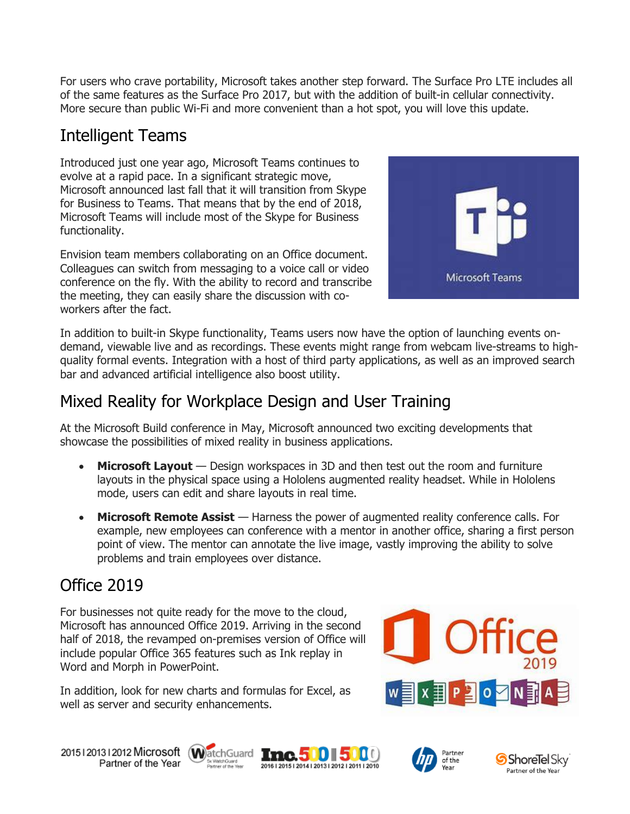For users who crave portability, Microsoft takes another step forward. The Surface Pro LTE includes all of the same features as the Surface Pro 2017, but with the addition of built-in cellular connectivity. More secure than public Wi-Fi and more convenient than a hot spot, you will love this update.

## Intelligent Teams

Introduced just one year ago, Microsoft Teams continues to evolve at a rapid pace. In a significant strategic move, Microsoft announced last fall that it will transition from Skype for Business to Teams. That means that by the end of 2018, Microsoft Teams will include most of the Skype for Business functionality.

Envision team members collaborating on an Office document. Colleagues can switch from messaging to a voice call or video conference on the fly. With the ability to record and transcribe the meeting, they can easily share the discussion with coworkers after the fact.



In addition to built-in Skype functionality, Teams users now have the option of launching events ondemand, viewable live and as recordings. These events might range from webcam live-streams to highquality formal events. Integration with a host of third party applications, as well as an improved search bar and advanced artificial intelligence also boost utility.

#### Mixed Reality for Workplace Design and User Training

At the Microsoft Build conference in May, Microsoft announced two exciting developments that showcase the possibilities of mixed reality in business applications.

- **Microsoft Layout** Design workspaces in 3D and then test out the room and furniture layouts in the physical space using a Hololens augmented reality headset. While in Hololens mode, users can edit and share layouts in real time.
- **Microsoft Remote Assist** Harness the power of augmented reality conference calls. For example, new employees can conference with a mentor in another office, sharing a first person point of view. The mentor can annotate the live image, vastly improving the ability to solve problems and train employees over distance.

# Office 2019

For businesses not quite ready for the move to the cloud, Microsoft has announced Office 2019. Arriving in the second half of 2018, the revamped on-premises version of Office will include popular Office 365 features such as Ink replay in Word and Morph in PowerPoint.

In addition, look for new charts and formulas for Excel, as well as server and security enhancements.